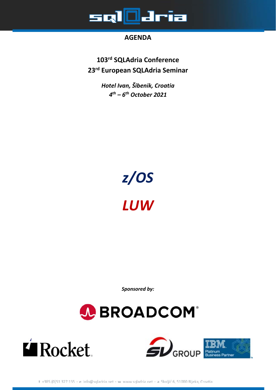

#### **AGENDA**

**103rd SQLAdria Conference 23rd European SQLAdria Seminar** 

> *Hotel Ivan, Šibenik, Croatia 4th – 6th October 2021*



*Sponsored by:* 





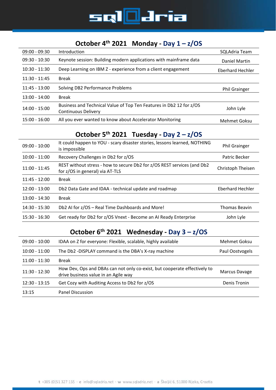

#### **October 4th 2021 Monday ‐ Day 1 – z/OS**

| $09:00 - 09:30$ | Introduction                                                                                      | SQLAdria Team        |
|-----------------|---------------------------------------------------------------------------------------------------|----------------------|
| $09:30 - 10:30$ | Keynote session: Building modern applications with mainframe data                                 | Daniel Martin        |
| $10:30 - 11:30$ | Deep Learning on IBM Z - experience from a client engagement                                      | Eberhard Hechler     |
| $11:30 - 11:45$ | <b>Break</b>                                                                                      |                      |
| $11:45 - 13:00$ | Solving DB2 Performance Problems                                                                  | <b>Phil Grainger</b> |
| $13:00 - 14:00$ | <b>Break</b>                                                                                      |                      |
| 14:00 - 15:00   | Business and Technical Value of Top Ten Features in Db2 12 for z/OS<br><b>Continuous Delivery</b> | John Lyle            |
| $15:00 - 16:00$ | All you ever wanted to know about Accelerator Monitoring                                          | Mehmet Goksu         |

# **October 5th 2021 Tuesday ‐ Day 2 – z/OS**

| $09:00 - 10:00$ | It could happen to YOU - scary disaster stories, lessons learned, NOTHING<br>is impossible                 | <b>Phil Grainger</b> |
|-----------------|------------------------------------------------------------------------------------------------------------|----------------------|
| $10:00 - 11:00$ | Recovery Challenges in Db2 for z/OS                                                                        | Patric Becker        |
| $11:00 - 11:45$ | REST without stress - how to secure Db2 for z/OS REST services (and Db2<br>for z/OS in general) via AT-TLS | Christoph Theisen    |
| $11:45 - 12:00$ | Break                                                                                                      |                      |
| $12:00 - 13:00$ | Db2 Data Gate and IDAA - technical update and roadmap                                                      | Eberhard Hechler     |
| $13:00 - 14:30$ | <b>Break</b>                                                                                               |                      |
| $14:30 - 15:30$ | Db2 AI for z/OS - Real Time Dashboards and More!                                                           | <b>Thomas Beavin</b> |
| $15:30 - 16:30$ | Get ready for Db2 for z/OS Vnext - Become an AI Ready Enterprise                                           | John Lyle            |

# **October 6th 2021 Wednesday ‐ Day 3 – z/OS**

| $09:00 - 10:00$ | IDAA on Z for everyone: Flexible, scalable, highly available                                                      | Mehmet Goksu    |
|-----------------|-------------------------------------------------------------------------------------------------------------------|-----------------|
| $10:00 - 11:00$ | The Db2 -DISPLAY command is the DBA's X-ray machine                                                               | Paul Oostvogels |
| $11:00 - 11:30$ | <b>Break</b>                                                                                                      |                 |
| $11:30 - 12:30$ | How Dev, Ops and DBAs can not only co-exist, but cooperate effectively to<br>drive business value in an Agile way | Marcus Davage   |
| $12:30 - 13:15$ | Get Cozy with Auditing Access to Db2 for z/OS                                                                     | Denis Tronin    |
| 13:15           | Panel Discussion                                                                                                  |                 |